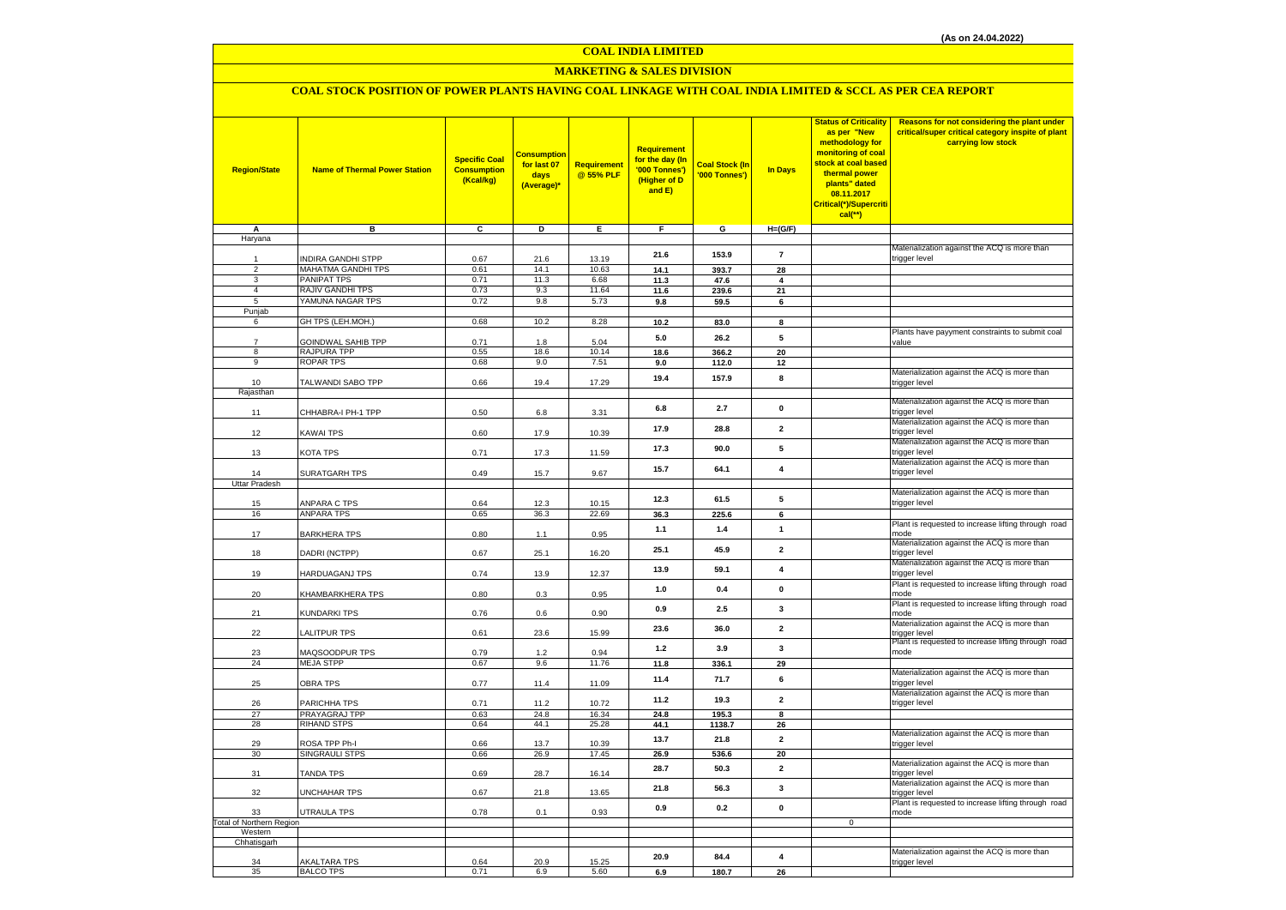### **COAL INDIA LIMITED**

### **MARKETING & SALES DIVISION**

### **COAL STOCK POSITION OF POWER PLANTS HAVING COAL LINKAGE WITH COAL INDIA LIMITED & SCCL AS PER CEA REPORT**

| <b>Region/State</b>             | <b>Name of Thermal Power Station</b>     | <b>Specific Coal</b><br><b>Consumption</b><br>(Kcal/kg) | <b>Consumption</b><br>for last 07<br>days<br>(Average)* | <b>Requirement</b><br>@ 55% PLF | <b>Requirement</b><br>for the day (In<br>'000 Tonnes')<br>(Higher of D<br>and E) | <b>Coal Stock (In</b><br>'000 Tonnes') | <b>In Days</b>          | <b>Status of Criticality</b><br>as per "New<br>methodology for<br>monitoring of coal<br>stock at coal based<br>thermal power<br>plants" dated<br>08.11.2017<br>Critical(*)/Supercriti<br>$cal{C}$ <sup>**</sup> ) | Reasons for not considering the plant under<br>critical/super critical category inspite of plant<br>carrying low stock |
|---------------------------------|------------------------------------------|---------------------------------------------------------|---------------------------------------------------------|---------------------------------|----------------------------------------------------------------------------------|----------------------------------------|-------------------------|-------------------------------------------------------------------------------------------------------------------------------------------------------------------------------------------------------------------|------------------------------------------------------------------------------------------------------------------------|
| A<br>Haryana                    | в                                        | C                                                       | D                                                       | Е.                              | F.                                                                               | G                                      | $H=(G/F)$               |                                                                                                                                                                                                                   |                                                                                                                        |
|                                 |                                          |                                                         |                                                         |                                 |                                                                                  |                                        |                         |                                                                                                                                                                                                                   | Materialization against the ACQ is more than                                                                           |
| 1                               | INDIRA GANDHI STPP                       | 0.67                                                    | 21.6                                                    | 13.19                           | 21.6                                                                             | 153.9                                  | $\overline{7}$          |                                                                                                                                                                                                                   | trigger level                                                                                                          |
| $\overline{c}$<br>3             | MAHATMA GANDHI TPS<br><b>PANIPAT TPS</b> | 0.61<br>0.71                                            | 14.1<br>11.3                                            | 10.63<br>6.68                   | 14.1<br>11.3                                                                     | 393.7<br>47.6                          | 28<br>4                 |                                                                                                                                                                                                                   |                                                                                                                        |
| $\overline{4}$                  | RAJIV GANDHI TPS                         | 0.73                                                    | 9.3                                                     | 11.64                           | 11.6                                                                             | 239.6                                  | 21                      |                                                                                                                                                                                                                   |                                                                                                                        |
| 5                               | YAMUNA NAGAR TPS                         | 0.72                                                    | 9.8                                                     | 5.73                            | 9.8                                                                              | 59.5                                   | 6                       |                                                                                                                                                                                                                   |                                                                                                                        |
| Punjab                          |                                          |                                                         |                                                         |                                 |                                                                                  |                                        |                         |                                                                                                                                                                                                                   |                                                                                                                        |
| 6                               | GH TPS (LEH.MOH.)                        | 0.68                                                    | 10.2                                                    | 8.28                            | 10.2                                                                             | 83.0                                   | 8                       |                                                                                                                                                                                                                   |                                                                                                                        |
| $\overline{7}$                  | GOINDWAL SAHIB TPP                       | 0.71                                                    | 1.8                                                     | 5.04                            | 5.0                                                                              | 26.2                                   | 5                       |                                                                                                                                                                                                                   | Plants have payyment constraints to submit coal<br>value                                                               |
| 8                               | RAJPURA TPP                              | 0.55                                                    | 18.6                                                    | 10.14                           | 18.6                                                                             | 366.2                                  | 20                      |                                                                                                                                                                                                                   |                                                                                                                        |
| 9                               | <b>ROPAR TPS</b>                         | 0.68                                                    | 9.0                                                     | 7.51                            | 9.0                                                                              | 112.0                                  | 12                      |                                                                                                                                                                                                                   |                                                                                                                        |
|                                 |                                          |                                                         |                                                         |                                 | 19.4                                                                             | 157.9                                  | 8                       |                                                                                                                                                                                                                   | Materialization against the ACQ is more than                                                                           |
| 10<br>Rajasthan                 | TALWANDI SABO TPP                        | 0.66                                                    | 19.4                                                    | 17.29                           |                                                                                  |                                        |                         |                                                                                                                                                                                                                   | trigger level                                                                                                          |
|                                 |                                          |                                                         |                                                         |                                 |                                                                                  |                                        |                         |                                                                                                                                                                                                                   | Materialization against the ACQ is more than                                                                           |
| 11                              | CHHABRA-I PH-1 TPP                       | 0.50                                                    | 6.8                                                     | 3.31                            | $6.8\,$                                                                          | 2.7                                    | $\mathbf{0}$            |                                                                                                                                                                                                                   | trigger level                                                                                                          |
|                                 |                                          |                                                         |                                                         |                                 | 17.9                                                                             | 28.8                                   | $\overline{2}$          |                                                                                                                                                                                                                   | Materialization against the ACQ is more than                                                                           |
| 12                              | KAWAI TPS                                | 0.60                                                    | 17.9                                                    | 10.39                           |                                                                                  |                                        |                         |                                                                                                                                                                                                                   | trigger level<br>Materialization against the ACQ is more than                                                          |
| 13                              | KOTA TPS                                 | 0.71                                                    | 17.3                                                    | 11.59                           | 17.3                                                                             | 90.0                                   | 5                       |                                                                                                                                                                                                                   | trigger level                                                                                                          |
|                                 |                                          |                                                         |                                                         |                                 |                                                                                  |                                        |                         |                                                                                                                                                                                                                   | Materialization against the ACQ is more than                                                                           |
| 14                              | SURATGARH TPS                            | 0.49                                                    | 15.7                                                    | 9.67                            | 15.7                                                                             | 64.1                                   | $\overline{\mathbf{4}}$ |                                                                                                                                                                                                                   | trigger level                                                                                                          |
| Uttar Pradesh                   |                                          |                                                         |                                                         |                                 |                                                                                  |                                        |                         |                                                                                                                                                                                                                   |                                                                                                                        |
| 15                              | ANPARA C TPS                             | 0.64                                                    | 12.3                                                    | 10.15                           | 12.3                                                                             | 61.5                                   | 5                       |                                                                                                                                                                                                                   | Materialization against the ACQ is more than<br>trigger level                                                          |
| 16                              | ANPARA TPS                               | 0.65                                                    | 36.3                                                    | 22.69                           | 36.3                                                                             | 225.6                                  | 6                       |                                                                                                                                                                                                                   |                                                                                                                        |
|                                 |                                          |                                                         |                                                         |                                 | 1.1                                                                              | 1.4                                    | $\mathbf{1}$            |                                                                                                                                                                                                                   | Plant is requested to increase lifting through road                                                                    |
| 17                              | <b>BARKHERA TPS</b>                      | 0.80                                                    | 1.1                                                     | 0.95                            |                                                                                  |                                        |                         |                                                                                                                                                                                                                   | mode                                                                                                                   |
| 18                              | DADRI (NCTPP)                            | 0.67                                                    | 25.1                                                    | 16.20                           | 25.1                                                                             | 45.9                                   | $\overline{2}$          |                                                                                                                                                                                                                   | Materialization against the ACQ is more than<br>trigger level                                                          |
|                                 |                                          |                                                         |                                                         |                                 |                                                                                  |                                        |                         |                                                                                                                                                                                                                   | Materialization against the ACQ is more than                                                                           |
| 19                              | HARDUAGANJ TPS                           | 0.74                                                    | 13.9                                                    | 12.37                           | 13.9                                                                             | 59.1                                   | $\overline{\mathbf{4}}$ |                                                                                                                                                                                                                   | trigger level                                                                                                          |
|                                 |                                          |                                                         |                                                         |                                 | 1.0                                                                              | 0.4                                    | $\mathbf 0$             |                                                                                                                                                                                                                   | Plant is requested to increase lifting through road                                                                    |
| 20                              | KHAMBARKHERA TPS                         | 0.80                                                    | 0.3                                                     | 0.95                            |                                                                                  |                                        |                         |                                                                                                                                                                                                                   | mode<br>Plant is requested to increase lifting through road                                                            |
| 21                              | KUNDARKI TPS                             | 0.76                                                    | 0.6                                                     | 0.90                            | 0.9                                                                              | 2.5                                    | $\mathbf{3}$            |                                                                                                                                                                                                                   | mode                                                                                                                   |
|                                 |                                          |                                                         |                                                         |                                 | 23.6                                                                             | 36.0                                   | $\overline{2}$          |                                                                                                                                                                                                                   | Materialization against the ACQ is more than                                                                           |
| 22                              | LALITPUR TPS                             | 0.61                                                    | 23.6                                                    | 15.99                           |                                                                                  |                                        |                         |                                                                                                                                                                                                                   | trigger level                                                                                                          |
| 23                              | MAQSOODPUR TPS                           | 0.79                                                    | 1.2                                                     | 0.94                            | $1.2$                                                                            | 3.9                                    | $\mathbf{3}$            |                                                                                                                                                                                                                   | Plant is requested to increase lifting through road<br>mode                                                            |
| 24                              | <b>MEJA STPP</b>                         | 0.67                                                    | 9.6                                                     | 11.76                           | 11.8                                                                             | 336.1                                  | 29                      |                                                                                                                                                                                                                   |                                                                                                                        |
|                                 |                                          |                                                         |                                                         |                                 | 11.4                                                                             | 71.7                                   | 6                       |                                                                                                                                                                                                                   | Materialization against the ACQ is more than                                                                           |
| 25                              | <b>OBRA TPS</b>                          | 0.77                                                    | 11.4                                                    | 11.09                           |                                                                                  |                                        |                         |                                                                                                                                                                                                                   | trigger level                                                                                                          |
| 26                              | PARICHHA TPS                             | 0.71                                                    | 11.2                                                    | 10.72                           | 11.2                                                                             | 19.3                                   | $\mathbf{2}$            |                                                                                                                                                                                                                   | Materialization against the ACQ is more than<br>trigger level                                                          |
| 27                              | PRAYAGRAJ TPP                            | 0.63                                                    | 24.8                                                    | 16.34                           | 24.8                                                                             | 195.3                                  | 8                       |                                                                                                                                                                                                                   |                                                                                                                        |
| 28                              | <b>RIHAND STPS</b>                       | 0.64                                                    | 44.1                                                    | 25.28                           | 44.1                                                                             | 1138.7                                 | 26                      |                                                                                                                                                                                                                   |                                                                                                                        |
|                                 |                                          |                                                         |                                                         |                                 | 13.7                                                                             | 21.8                                   | $\overline{2}$          |                                                                                                                                                                                                                   | Materialization against the ACQ is more than                                                                           |
| 29<br>30                        | ROSA TPP Ph-I<br>SINGRAULI STPS          | 0.66<br>0.66                                            | 13.7<br>26.9                                            | 10.39<br>17.45                  | 26.9                                                                             | 536.6                                  | 20                      |                                                                                                                                                                                                                   | trigger level                                                                                                          |
|                                 |                                          |                                                         |                                                         |                                 |                                                                                  |                                        |                         |                                                                                                                                                                                                                   | Materialization against the ACQ is more than                                                                           |
| 31                              | <b>TANDA TPS</b>                         | 0.69                                                    | 28.7                                                    | 16.14                           | 28.7                                                                             | 50.3                                   | $\mathbf{2}$            |                                                                                                                                                                                                                   | trigger level                                                                                                          |
|                                 |                                          |                                                         |                                                         |                                 | 21.8                                                                             | 56.3                                   | $\mathbf{3}$            |                                                                                                                                                                                                                   | Materialization against the ACQ is more than                                                                           |
| 32                              | UNCHAHAR TPS                             | 0.67                                                    | 21.8                                                    | 13.65                           |                                                                                  |                                        |                         |                                                                                                                                                                                                                   | trigger level<br>Plant is requested to increase lifting through road                                                   |
| 33                              | UTRAULA TPS                              | 0.78                                                    | 0.1                                                     | 0.93                            | 0.9                                                                              | 0.2                                    | $\pmb{0}$               |                                                                                                                                                                                                                   | mode                                                                                                                   |
| <b>Total of Northern Region</b> |                                          |                                                         |                                                         |                                 |                                                                                  |                                        |                         | $\mathsf 0$                                                                                                                                                                                                       |                                                                                                                        |
| Western<br>Chhatisgarh          |                                          |                                                         |                                                         |                                 |                                                                                  |                                        |                         |                                                                                                                                                                                                                   |                                                                                                                        |
|                                 |                                          |                                                         |                                                         |                                 |                                                                                  |                                        |                         |                                                                                                                                                                                                                   | Materialization against the ACQ is more than                                                                           |
| 34                              | <b>AKALTARA TPS</b>                      | 0.64                                                    | 20.9                                                    | 15.25                           | 20.9                                                                             | 84.4                                   | $\overline{4}$          |                                                                                                                                                                                                                   | trigger level                                                                                                          |
| 35                              | <b>BALCO TPS</b>                         | 0.71                                                    | 6.9                                                     | 5.60                            | 6.9                                                                              | 180.7                                  | 26                      |                                                                                                                                                                                                                   |                                                                                                                        |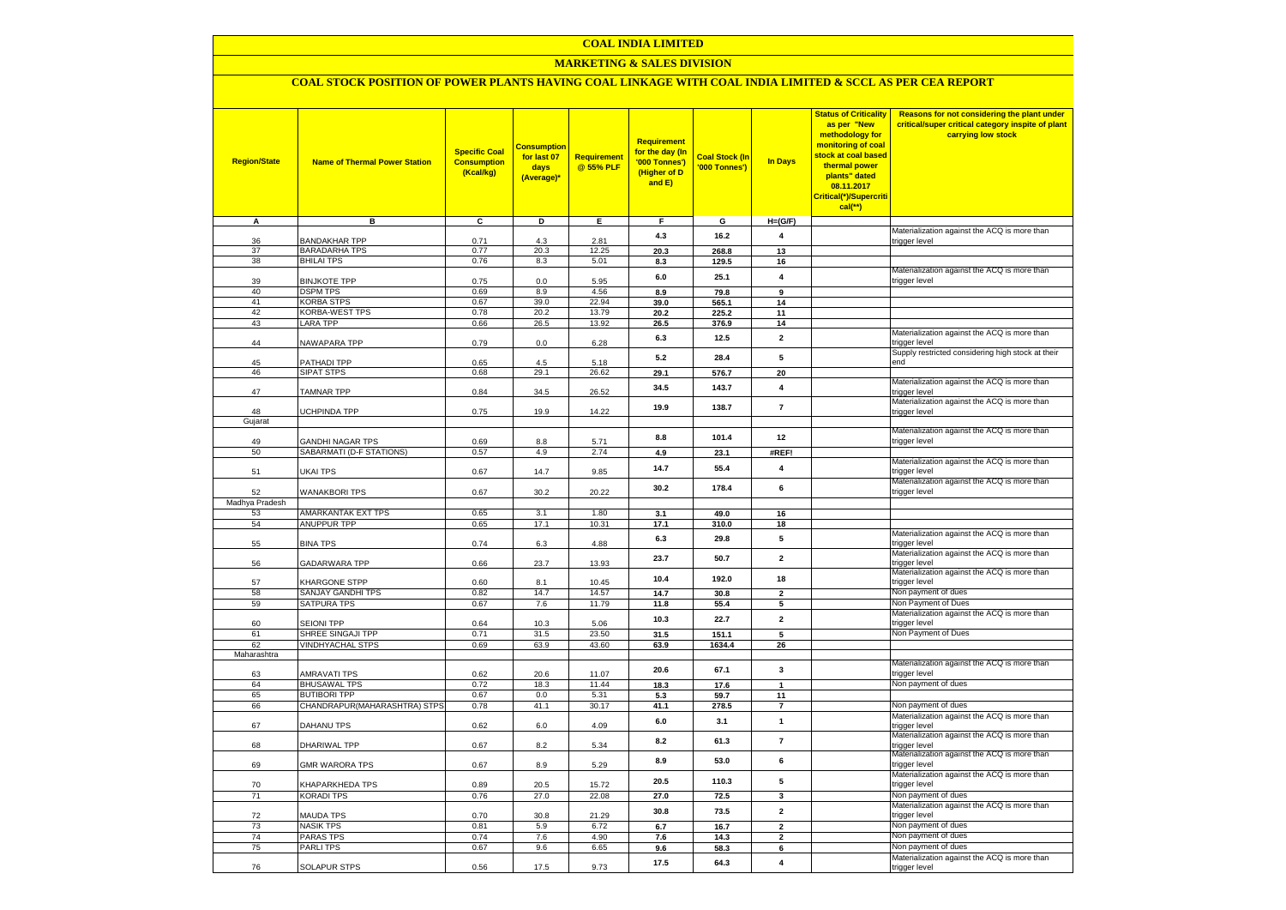#### **COAL INDIA LIMITED**

### **MARKETING & SALES DIVISION**

## **COAL STOCK POSITION OF POWER PLANTS HAVING COAL LINKAGE WITH COAL INDIA LIMITED & SCCL AS PER CEA REPORT**

| <b>Region/State</b> | <b>Name of Thermal Power Station</b> | <b>Specific Coal</b><br><b>Consumption</b><br>(Kcal/kg) | <b>Consumption</b><br>for last 07<br>days<br>(Average) | <b>Requirement</b><br>@ 55% PLF | <b>Requirement</b><br>for the day (In<br>'000 Tonnes')<br>(Higher of D<br>and E) | <b>Coal Stock (In</b><br>'000 Tonnes') | <b>In Days</b>          | <b>Status of Criticality</b><br>as per "New<br>methodology for<br>monitoring of coal<br>stock at coal based<br>thermal power<br>plants" dated<br>08.11.2017<br>Critical(*)/Supercriti<br>cal(**) | Reasons for not considering the plant under<br>critical/super critical category inspite of plant<br>carrying low stock |
|---------------------|--------------------------------------|---------------------------------------------------------|--------------------------------------------------------|---------------------------------|----------------------------------------------------------------------------------|----------------------------------------|-------------------------|--------------------------------------------------------------------------------------------------------------------------------------------------------------------------------------------------|------------------------------------------------------------------------------------------------------------------------|
| A                   | в                                    | $\overline{c}$                                          | Þ                                                      | E.                              | F.                                                                               | G                                      | $H=(G/F)$               |                                                                                                                                                                                                  |                                                                                                                        |
| 36                  | <b>BANDAKHAR TPP</b>                 | 0.71                                                    | 4.3                                                    | 2.81                            | 4.3                                                                              | 16.2                                   | $\overline{\mathbf{4}}$ |                                                                                                                                                                                                  | Materialization against the ACQ is more than<br>trigger level                                                          |
| 37                  | <b>BARADARHA TPS</b>                 | 0.77                                                    | 20.3                                                   | 12.25                           | 20.3                                                                             | 268.8                                  | 13                      |                                                                                                                                                                                                  |                                                                                                                        |
| 38                  | <b>BHILAI TPS</b>                    | 0.76                                                    | 8.3                                                    | 5.01                            | 8.3                                                                              | 129.5                                  | 16                      |                                                                                                                                                                                                  |                                                                                                                        |
|                     |                                      |                                                         |                                                        |                                 |                                                                                  |                                        |                         |                                                                                                                                                                                                  | Materialization against the ACQ is more than                                                                           |
| 39                  | <b>BINJKOTE TPP</b>                  | 0.75                                                    | 0.0                                                    | 5.95                            | $6.0\,$                                                                          | 25.1                                   | $\overline{4}$          |                                                                                                                                                                                                  | trigger level                                                                                                          |
| 40                  | <b>DSPM TPS</b>                      | 0.69                                                    | 8.9                                                    | 4.56                            | 8.9                                                                              | 79.8                                   | 9                       |                                                                                                                                                                                                  |                                                                                                                        |
| 41                  | <b>KORBA STPS</b>                    | 0.67                                                    | 39.0                                                   | 22.94                           | 39.0                                                                             | 565.1                                  | 14                      |                                                                                                                                                                                                  |                                                                                                                        |
| 42<br>43            | KORBA-WEST TPS<br><b>LARA TPP</b>    | 0.78<br>0.66                                            | 20.2<br>26.5                                           | 13.79<br>13.92                  | 20.2                                                                             | 225.2                                  | 11<br>14                |                                                                                                                                                                                                  |                                                                                                                        |
|                     |                                      |                                                         |                                                        |                                 | 26.5                                                                             | 376.9                                  |                         |                                                                                                                                                                                                  | Materialization against the ACQ is more than                                                                           |
| 44                  | NAWAPARA TPP                         | 0.79                                                    | 0.0                                                    | 6.28                            | 6.3                                                                              | 12.5                                   | $\overline{2}$          |                                                                                                                                                                                                  | trigger level                                                                                                          |
|                     |                                      |                                                         |                                                        |                                 | 5.2                                                                              | 28.4                                   | 5                       |                                                                                                                                                                                                  | Supply restricted considering high stock at their                                                                      |
| 45                  | PATHADI TPP                          | 0.65                                                    | 4.5                                                    | 5.18                            |                                                                                  |                                        |                         |                                                                                                                                                                                                  | end                                                                                                                    |
| 46                  | <b>SIPAT STPS</b>                    | 0.68                                                    | 29.1                                                   | 26.62                           | 29.1                                                                             | 576.7                                  | 20                      |                                                                                                                                                                                                  |                                                                                                                        |
| 47                  | TAMNAR TPP                           | 0.84                                                    | 34.5                                                   | 26.52                           | 34.5                                                                             | 143.7                                  | $\overline{\mathbf{4}}$ |                                                                                                                                                                                                  | Materialization against the ACQ is more than<br>trigger level                                                          |
|                     |                                      |                                                         |                                                        |                                 |                                                                                  |                                        |                         |                                                                                                                                                                                                  | Materialization against the ACQ is more than                                                                           |
| 48                  | UCHPINDA TPP                         | 0.75                                                    | 19.9                                                   | 14.22                           | 19.9                                                                             | 138.7                                  | $\overline{7}$          |                                                                                                                                                                                                  | trigger level                                                                                                          |
| Gujarat             |                                      |                                                         |                                                        |                                 |                                                                                  |                                        |                         |                                                                                                                                                                                                  |                                                                                                                        |
|                     |                                      |                                                         |                                                        |                                 | 8.8                                                                              | 101.4                                  | 12                      |                                                                                                                                                                                                  | Materialization against the ACQ is more than                                                                           |
| 49                  | <b>GANDHI NAGAR TPS</b>              | 0.69                                                    | 8.8                                                    | 5.71                            |                                                                                  |                                        |                         |                                                                                                                                                                                                  | trigger level                                                                                                          |
| 50                  | SABARMATI (D-F STATIONS)             | 0.57                                                    | 4.9                                                    | 2.74                            | 4.9                                                                              | 23.1                                   | #REF!                   |                                                                                                                                                                                                  | Materialization against the ACQ is more than                                                                           |
| 51                  | UKAI TPS                             | 0.67                                                    | 14.7                                                   | 9.85                            | 14.7                                                                             | 55.4                                   | $\overline{4}$          |                                                                                                                                                                                                  | trigger level                                                                                                          |
|                     |                                      |                                                         |                                                        |                                 |                                                                                  |                                        |                         |                                                                                                                                                                                                  | Materialization against the ACQ is more than                                                                           |
| 52                  | <b>WANAKBORI TPS</b>                 | 0.67                                                    | 30.2                                                   | 20.22                           | 30.2                                                                             | 178.4                                  | 6                       |                                                                                                                                                                                                  | trigger level                                                                                                          |
| Madhya Pradesh      |                                      |                                                         |                                                        |                                 |                                                                                  |                                        |                         |                                                                                                                                                                                                  |                                                                                                                        |
| 53                  | AMARKANTAK EXT TPS                   | 0.65                                                    | 3.1                                                    | 1.80                            | 3.1                                                                              | 49.0                                   | 16                      |                                                                                                                                                                                                  |                                                                                                                        |
| 54                  | <b>ANUPPUR TPP</b>                   | 0.65                                                    | 17.1                                                   | 10.31                           | 17.1                                                                             | 310.0                                  | 18                      |                                                                                                                                                                                                  |                                                                                                                        |
| 55                  | <b>BINA TPS</b>                      | 0.74                                                    | 6.3                                                    | 4.88                            | 6.3                                                                              | 29.8                                   | 5                       |                                                                                                                                                                                                  | Materialization against the ACQ is more than<br>trigger level                                                          |
|                     |                                      |                                                         |                                                        |                                 |                                                                                  |                                        |                         |                                                                                                                                                                                                  | Materialization against the ACQ is more than                                                                           |
| 56                  | <b>GADARWARA TPP</b>                 | 0.66                                                    | 23.7                                                   | 13.93                           | 23.7                                                                             | 50.7                                   | $\overline{2}$          |                                                                                                                                                                                                  | trigger level                                                                                                          |
|                     |                                      |                                                         |                                                        |                                 | 10.4                                                                             | 192.0                                  | 18                      |                                                                                                                                                                                                  | Materialization against the ACQ is more than                                                                           |
| 57                  | KHARGONE STPP                        | 0.60                                                    | 8.1                                                    | 10.45                           |                                                                                  |                                        |                         |                                                                                                                                                                                                  | trigger level                                                                                                          |
| 58<br>59            | SANJAY GANDHI TPS<br>SATPURA TPS     | 0.82<br>0.67                                            | 14.7<br>7.6                                            | 14.57<br>11.79                  | 14.7<br>11.8                                                                     | 30.8                                   | $\overline{2}$<br>5     |                                                                                                                                                                                                  | Non payment of dues<br>Non Payment of Dues                                                                             |
|                     |                                      |                                                         |                                                        |                                 |                                                                                  | 55.4                                   |                         |                                                                                                                                                                                                  | Materialization against the ACQ is more than                                                                           |
| 60                  | <b>SEIONI TPP</b>                    | 0.64                                                    | 10.3                                                   | 5.06                            | 10.3                                                                             | 22.7                                   | $\overline{2}$          |                                                                                                                                                                                                  | trigger level                                                                                                          |
| 61                  | SHREE SINGAJI TPP                    | 0.71                                                    | 31.5                                                   | 23.50                           | 31.5                                                                             | 151.1                                  | $5\overline{5}$         |                                                                                                                                                                                                  | Non Payment of Dues                                                                                                    |
| 62                  | <b>VINDHYACHAL STPS</b>              | 0.69                                                    | 63.9                                                   | 43.60                           | 63.9                                                                             | 1634.4                                 | 26                      |                                                                                                                                                                                                  |                                                                                                                        |
| Maharashtra         |                                      |                                                         |                                                        |                                 |                                                                                  |                                        |                         |                                                                                                                                                                                                  |                                                                                                                        |
| 63                  | <b>AMRAVATI TPS</b>                  | 0.62                                                    | 20.6                                                   | 11.07                           | 20.6                                                                             | 67.1                                   | 3                       |                                                                                                                                                                                                  | Materialization against the ACQ is more than<br>trigger level                                                          |
| 64                  | <b>BHUSAWAL TPS</b>                  | 0.72                                                    | 18.3                                                   | 11.44                           | 18.3                                                                             | 17.6                                   | $\mathbf{1}$            |                                                                                                                                                                                                  | Non payment of dues                                                                                                    |
| 65                  | <b>BUTIBORI TPP</b>                  | 0.67                                                    | 0.0                                                    | 5.31                            | 5.3                                                                              | 59.7                                   | 11                      |                                                                                                                                                                                                  |                                                                                                                        |
| 66                  | CHANDRAPUR(MAHARASHTRA) STPS         | 0.78                                                    | 41.1                                                   | 30.17                           | 41.1                                                                             | 278.5                                  | $\overline{7}$          |                                                                                                                                                                                                  | Non payment of dues                                                                                                    |
|                     |                                      |                                                         |                                                        |                                 | 6.0                                                                              | 3.1                                    | $\mathbf{1}$            |                                                                                                                                                                                                  | Materialization against the ACQ is more than                                                                           |
| 67                  | DAHANU TPS                           | 0.62                                                    | 6.0                                                    | 4.09                            |                                                                                  |                                        |                         |                                                                                                                                                                                                  | trigger level                                                                                                          |
| 68                  | DHARIWAL TPP                         | 0.67                                                    | 8.2                                                    | 5.34                            | 8.2                                                                              | 61.3                                   | $\overline{7}$          |                                                                                                                                                                                                  | Materialization against the ACQ is more than<br>trigger level                                                          |
|                     |                                      |                                                         |                                                        |                                 |                                                                                  |                                        |                         |                                                                                                                                                                                                  | Materialization against the ACQ is more than                                                                           |
| 69                  | <b>GMR WARORA TPS</b>                | 0.67                                                    | 8.9                                                    | 5.29                            | 8.9                                                                              | 53.0                                   | 6                       |                                                                                                                                                                                                  | trigger level                                                                                                          |
|                     |                                      |                                                         |                                                        |                                 |                                                                                  |                                        |                         |                                                                                                                                                                                                  | Materialization against the ACQ is more than                                                                           |
| 70                  | KHAPARKHEDA TPS                      | 0.89                                                    | 20.5                                                   | 15.72                           | 20.5                                                                             | 110.3                                  | 5                       |                                                                                                                                                                                                  | trigger level                                                                                                          |
| 71                  | <b>KORADI TPS</b>                    | 0.76                                                    | 27.0                                                   | 22.08                           | 27.0                                                                             | 72.5                                   | 3                       |                                                                                                                                                                                                  | Non payment of dues                                                                                                    |
| 72                  | MAUDA TPS                            | 0.70                                                    | 30.8                                                   | 21.29                           | 30.8                                                                             | 73.5                                   | $\mathbf{2}$            |                                                                                                                                                                                                  | Materialization against the ACQ is more than<br>trigger level                                                          |
| 73                  | <b>NASIK TPS</b>                     | 0.81                                                    | 5.9                                                    | 6.72                            | 6.7                                                                              | 16.7                                   | $\overline{2}$          |                                                                                                                                                                                                  | Non payment of dues                                                                                                    |
| 74                  | <b>PARAS TPS</b>                     | 0.74                                                    | 7.6                                                    | 4.90                            | 7.6                                                                              | 14.3                                   | $\overline{\mathbf{2}}$ |                                                                                                                                                                                                  | Non payment of dues                                                                                                    |
| 75                  | <b>PARLITPS</b>                      | 0.67                                                    | 9.6                                                    | 6.65                            | 9.6                                                                              | 58.3                                   | 6                       |                                                                                                                                                                                                  | Non payment of dues                                                                                                    |
|                     |                                      |                                                         |                                                        |                                 | 17.5                                                                             | 64.3                                   | 4                       |                                                                                                                                                                                                  | Materialization against the ACQ is more than                                                                           |
| 76                  | SOLAPUR STPS                         | 0.56                                                    | 17.5                                                   | 9.73                            |                                                                                  |                                        |                         |                                                                                                                                                                                                  | trigger level                                                                                                          |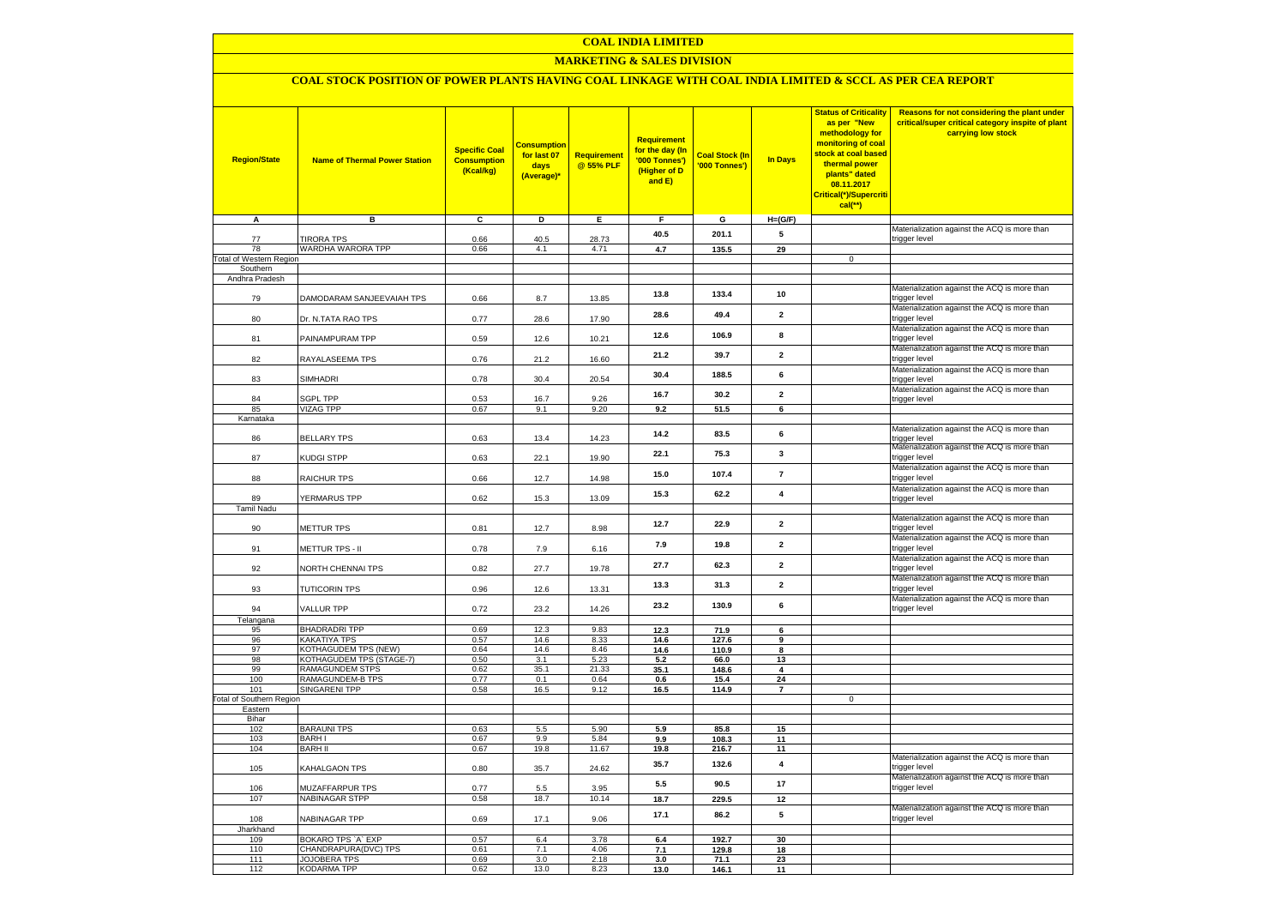### **COAL INDIA LIMITED**

### **MARKETING & SALES DIVISION**

# **COAL STOCK POSITION OF POWER PLANTS HAVING COAL LINKAGE WITH COAL INDIA LIMITED & SCCL AS PER CEA REPORT**

| <b>Region/State</b>             | <b>Name of Thermal Power Station</b>     | <b>Specific Coal</b><br><b>Consumption</b><br>(Kcal/kg) | <b>Consumption</b><br>for last 07<br>days<br>(Average)* | Requirement<br>@ 55% PLF | <b>Requirement</b><br>for the day (In<br>'000 Tonnes')<br>(Higher of D<br>and E) | <b>Coal Stock (In</b><br>'000 Tonnes') | <b>In Days</b>          | <b>Status of Criticality</b><br>as per "New<br>methodology for<br>monitoring of coal<br>stock at coal based<br>thermal power<br>plants" dated<br>08.11.2017<br>Critical(*)/Supercriti<br>cal(**) | Reasons for not considering the plant under<br>critical/super critical category inspite of plant<br>carrying low stock |
|---------------------------------|------------------------------------------|---------------------------------------------------------|---------------------------------------------------------|--------------------------|----------------------------------------------------------------------------------|----------------------------------------|-------------------------|--------------------------------------------------------------------------------------------------------------------------------------------------------------------------------------------------|------------------------------------------------------------------------------------------------------------------------|
| A                               | в                                        | C                                                       | D                                                       | Е.                       | F.                                                                               | G                                      | $H=(G/F)$               |                                                                                                                                                                                                  |                                                                                                                        |
| 77                              | <b>TIRORA TPS</b>                        | 0.66                                                    | 40.5                                                    | 28.73                    | 40.5                                                                             | 201.1                                  | 5                       |                                                                                                                                                                                                  | Materialization against the ACQ is more than<br>trigger level                                                          |
| 78                              | WARDHA WARORA TPP                        | 0.66                                                    | 4.1                                                     | 4.71                     | 4.7                                                                              | 135.5                                  | 29                      |                                                                                                                                                                                                  |                                                                                                                        |
| <b>Total of Western Region</b>  |                                          |                                                         |                                                         |                          |                                                                                  |                                        |                         | $\mathbf 0$                                                                                                                                                                                      |                                                                                                                        |
| Southern<br>Andhra Pradesh      |                                          |                                                         |                                                         |                          |                                                                                  |                                        |                         |                                                                                                                                                                                                  |                                                                                                                        |
| 79                              | DAMODARAM SANJEEVAIAH TPS                | 0.66                                                    | 8.7                                                     | 13.85                    | 13.8                                                                             | 133.4                                  | 10                      |                                                                                                                                                                                                  | Materialization against the ACQ is more than<br>trigger level                                                          |
| 80                              | Dr. N.TATA RAO TPS                       | 0.77                                                    | 28.6                                                    | 17.90                    | 28.6                                                                             | 49.4                                   | $\mathbf 2$             |                                                                                                                                                                                                  | Materialization against the ACQ is more than<br>trigger level                                                          |
| 81                              | PAINAMPURAM TPP                          | 0.59                                                    | 12.6                                                    | 10.21                    | 12.6                                                                             | 106.9                                  | 8                       |                                                                                                                                                                                                  | Materialization against the ACQ is more than<br>trigger level                                                          |
| 82                              | RAYALASEEMA TPS                          | 0.76                                                    | 21.2                                                    | 16.60                    | 21.2                                                                             | 39.7                                   | $\mathbf{2}$            |                                                                                                                                                                                                  | Materialization against the ACQ is more than<br>trigger level                                                          |
| 83                              | SIMHADRI                                 | 0.78                                                    | 30.4                                                    | 20.54                    | 30.4                                                                             | 188.5                                  | 6                       |                                                                                                                                                                                                  | Materialization against the ACQ is more than<br>trigger level<br>Materialization against the ACQ is more than          |
| 84                              | <b>SGPL TPP</b>                          | 0.53                                                    | 16.7                                                    | 9.26                     | 16.7                                                                             | 30.2                                   | $\mathbf{2}$            |                                                                                                                                                                                                  | trigger level                                                                                                          |
| 85                              | VIZAG TPP                                | 0.67                                                    | 9.1                                                     | 9.20                     | 9.2                                                                              | 51.5                                   | 6                       |                                                                                                                                                                                                  |                                                                                                                        |
| Karnataka                       |                                          |                                                         |                                                         |                          |                                                                                  |                                        |                         |                                                                                                                                                                                                  |                                                                                                                        |
| 86                              | <b>BELLARY TPS</b>                       | 0.63                                                    | 13.4                                                    | 14.23                    | 14.2                                                                             | 83.5                                   | 6                       |                                                                                                                                                                                                  | Materialization against the ACQ is more than<br>trigger level<br>Materialization against the ACQ is more than          |
| 87                              | KUDGI STPP                               | 0.63                                                    | 22.1                                                    | 19.90                    | 22.1                                                                             | 75.3                                   | $\mathbf{3}$            |                                                                                                                                                                                                  | trigger level<br>Materialization against the ACQ is more than                                                          |
| 88                              | RAICHUR TPS                              | 0.66                                                    | 12.7                                                    | 14.98                    | 15.0                                                                             | 107.4                                  | $\overline{7}$          |                                                                                                                                                                                                  | trigger level<br>Materialization against the ACQ is more than                                                          |
| 89<br><b>Tamil Nadu</b>         | YERMARUS TPP                             | 0.62                                                    | 15.3                                                    | 13.09                    | 15.3                                                                             | 62.2                                   | $\overline{\mathbf{4}}$ |                                                                                                                                                                                                  | trigger level                                                                                                          |
| 90                              | METTUR TPS                               | 0.81                                                    | 12.7                                                    | 8.98                     | 12.7                                                                             | 22.9                                   | $\overline{2}$          |                                                                                                                                                                                                  | Materialization against the ACQ is more than<br>trigger level                                                          |
| 91                              | METTUR TPS - II                          | 0.78                                                    | 7.9                                                     | 6.16                     | 7.9                                                                              | 19.8                                   | $\mathbf{2}$            |                                                                                                                                                                                                  | Materialization against the ACQ is more than<br>trigger level                                                          |
| 92                              | NORTH CHENNAI TPS                        | 0.82                                                    | 27.7                                                    | 19.78                    | 27.7                                                                             | 62.3                                   | $\overline{\mathbf{2}}$ |                                                                                                                                                                                                  | Materialization against the ACQ is more than<br>trigger level                                                          |
| 93                              | <b>TUTICORIN TPS</b>                     | 0.96                                                    | 12.6                                                    | 13.31                    | 13.3                                                                             | 31.3                                   | $\overline{\mathbf{2}}$ |                                                                                                                                                                                                  | Materialization against the ACQ is more than<br>trigger level                                                          |
| 94                              | <b>VALLUR TPP</b>                        | 0.72                                                    | 23.2                                                    | 14.26                    | 23.2                                                                             | 130.9                                  | 6                       |                                                                                                                                                                                                  | Materialization against the ACQ is more than<br>trigger level                                                          |
| Telangana<br>95                 | <b>BHADRADRI TPP</b>                     | 0.69                                                    | 12.3                                                    | 9.83                     | 12.3                                                                             | 71.9                                   | 6                       |                                                                                                                                                                                                  |                                                                                                                        |
| 96                              | <b>KAKATIYA TPS</b>                      | 0.57                                                    | 14.6                                                    | 8.33                     | 14.6                                                                             | 127.6                                  | 9                       |                                                                                                                                                                                                  |                                                                                                                        |
| 97                              | KOTHAGUDEM TPS (NEW)                     | 0.64                                                    | 14.6                                                    | 8.46                     | 14.6                                                                             | 110.9                                  | 8                       |                                                                                                                                                                                                  |                                                                                                                        |
| 98                              | KOTHAGUDEM TPS (STAGE-7)                 | 0.50                                                    | 3.1                                                     | 5.23                     | 5.2                                                                              | 66.0                                   | 13                      |                                                                                                                                                                                                  |                                                                                                                        |
| 99<br>100                       | RAMAGUNDEM STPS<br>RAMAGUNDEM-B TPS      | 0.62<br>0.77                                            | 35.1<br>0.1                                             | 21.33<br>0.64            | 35.1<br>0.6                                                                      | 148.6<br>15.4                          | 4<br>24                 |                                                                                                                                                                                                  |                                                                                                                        |
| 101                             | <b>SINGARENI TPP</b>                     | 0.58                                                    | 16.5                                                    | 9.12                     | 16.5                                                                             | 114.9                                  | $\overline{7}$          |                                                                                                                                                                                                  |                                                                                                                        |
| <b>Total of Southern Region</b> |                                          |                                                         |                                                         |                          |                                                                                  |                                        |                         | $\mathsf 0$                                                                                                                                                                                      |                                                                                                                        |
| Eastern                         |                                          |                                                         |                                                         |                          |                                                                                  |                                        |                         |                                                                                                                                                                                                  |                                                                                                                        |
| Bihar<br>102                    | <b>BARAUNI TPS</b>                       | 0.63                                                    | 5.5                                                     | 5.90                     | 5.9                                                                              | 85.8                                   | 15                      |                                                                                                                                                                                                  |                                                                                                                        |
| 103                             | <b>BARHI</b>                             | 0.67                                                    | 9.9                                                     | 5.84                     | 9.9                                                                              | 108.3                                  | 11                      |                                                                                                                                                                                                  |                                                                                                                        |
| 104                             | <b>BARH II</b>                           | 0.67                                                    | 19.8                                                    | 11.67                    | 19.8                                                                             | 216.7                                  | 11                      |                                                                                                                                                                                                  |                                                                                                                        |
| 105                             | KAHALGAON TPS                            | 0.80                                                    | 35.7                                                    | 24.62                    | 35.7                                                                             | 132.6                                  | $\overline{\mathbf{4}}$ |                                                                                                                                                                                                  | Materialization against the ACQ is more than<br>trigger level<br>Materialization against the ACQ is more than          |
| 106                             | MUZAFFARPUR TPS<br><b>NABINAGAR STPP</b> | 0.77                                                    | $5.5\,$                                                 | 3.95                     | 5.5                                                                              | 90.5                                   | 17                      |                                                                                                                                                                                                  | trigger level                                                                                                          |
| 107                             |                                          | 0.58                                                    | 18.7                                                    | 10.14                    | 18.7                                                                             | 229.5                                  | 12                      |                                                                                                                                                                                                  | Materialization against the ACQ is more than                                                                           |
| 108<br>Jharkhand                | NABINAGAR TPP                            | 0.69                                                    | 17.1                                                    | 9.06                     | 17.1                                                                             | 86.2                                   | 5                       |                                                                                                                                                                                                  | trigger level                                                                                                          |
| 109                             | BOKARO TPS 'A' EXP                       | 0.57                                                    | 6.4                                                     | 3.78                     | 6.4                                                                              | 192.7                                  | 30                      |                                                                                                                                                                                                  |                                                                                                                        |
| 110                             | CHANDRAPURA(DVC) TPS                     | 0.61                                                    | 7.1                                                     | 4.06                     | 7.1                                                                              | 129.8                                  | 18                      |                                                                                                                                                                                                  |                                                                                                                        |
| 111                             | <b>JOJOBERA TPS</b>                      | 0.69                                                    | 3.0                                                     | 2.18                     | 3.0                                                                              | 71.1                                   | 23                      |                                                                                                                                                                                                  |                                                                                                                        |
| 112                             | <b>KODARMA TPP</b>                       | 0.62                                                    | 13.0                                                    | 8.23                     | 13.0                                                                             | 146.1                                  | 11                      |                                                                                                                                                                                                  |                                                                                                                        |